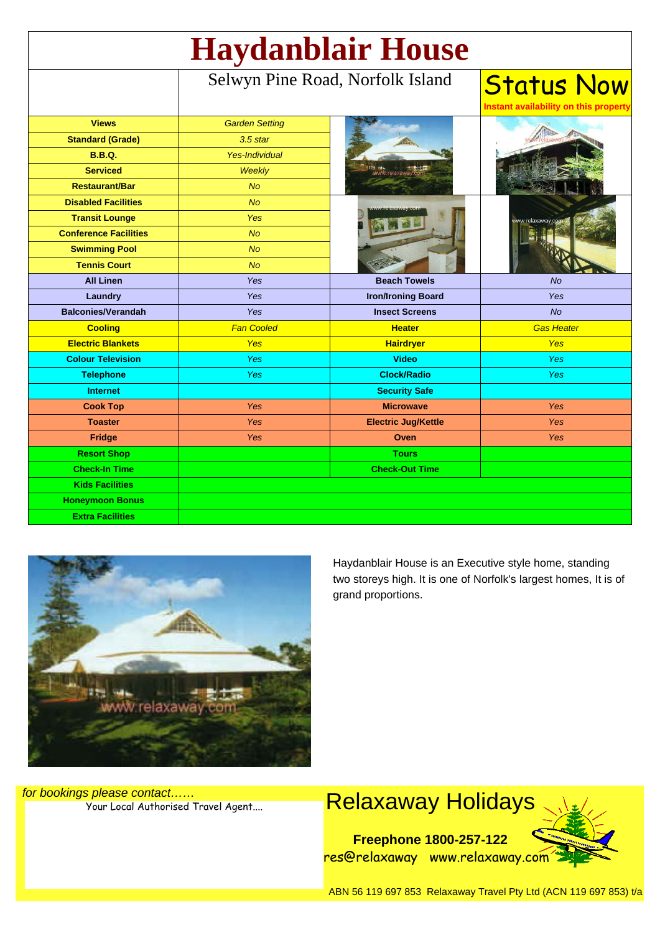| <b>Haydanblair House</b>     |                                  |                            |                                                            |
|------------------------------|----------------------------------|----------------------------|------------------------------------------------------------|
|                              | Selwyn Pine Road, Norfolk Island |                            | <b>Status Now</b><br>Instant availability on this property |
| <b>Views</b>                 | <b>Garden Setting</b>            |                            |                                                            |
| <b>Standard (Grade)</b>      | $3.5$ star                       |                            |                                                            |
| <b>B.B.Q.</b>                | <b>Yes-Individual</b>            |                            |                                                            |
| <b>Serviced</b>              | <b>Weekly</b>                    |                            |                                                            |
| <b>Restaurant/Bar</b>        | <b>No</b>                        |                            |                                                            |
| <b>Disabled Facilities</b>   | No                               |                            |                                                            |
| <b>Transit Lounge</b>        | <b>Yes</b>                       |                            | www.relaxaway.                                             |
| <b>Conference Facilities</b> | <b>No</b>                        |                            |                                                            |
| <b>Swimming Pool</b>         | <b>No</b>                        |                            |                                                            |
| <b>Tennis Court</b>          | <b>No</b>                        |                            |                                                            |
| <b>All Linen</b>             | Yes                              | <b>Beach Towels</b>        | <b>No</b>                                                  |
| Laundry                      | Yes                              | <b>Iron/Ironing Board</b>  | Yes                                                        |
| <b>Balconies/Verandah</b>    | Yes                              | <b>Insect Screens</b>      | <b>No</b>                                                  |
| <b>Cooling</b>               | <b>Fan Cooled</b>                | <b>Heater</b>              | <b>Gas Heater</b>                                          |
| <b>Electric Blankets</b>     | <b>Yes</b>                       | <b>Hairdryer</b>           | <b>Yes</b>                                                 |
| <b>Colour Television</b>     | <b>Yes</b>                       | <b>Video</b>               | <b>Yes</b>                                                 |
| <b>Telephone</b>             | <b>Yes</b>                       | <b>Clock/Radio</b>         | <b>Yes</b>                                                 |
| <b>Internet</b>              |                                  | <b>Security Safe</b>       |                                                            |
| <b>Cook Top</b>              | <b>Yes</b>                       | <b>Microwave</b>           | <b>Yes</b>                                                 |
| <b>Toaster</b>               | Yes                              | <b>Electric Jug/Kettle</b> | <b>Yes</b>                                                 |
| <b>Fridge</b>                | <b>Yes</b>                       | Oven                       | <b>Yes</b>                                                 |
| <b>Resort Shop</b>           |                                  | <b>Tours</b>               |                                                            |
| <b>Check-In Time</b>         |                                  | <b>Check-Out Time</b>      |                                                            |
| <b>Kids Facilities</b>       |                                  |                            |                                                            |
| <b>Honeymoon Bonus</b>       |                                  |                            |                                                            |
| <b>Extra Facilities</b>      |                                  |                            |                                                            |



Haydanblair House is an Executive style home, standing two storeys high. It is one of Norfolk's largest homes, It is of grand proportions.

for bookings please contact……